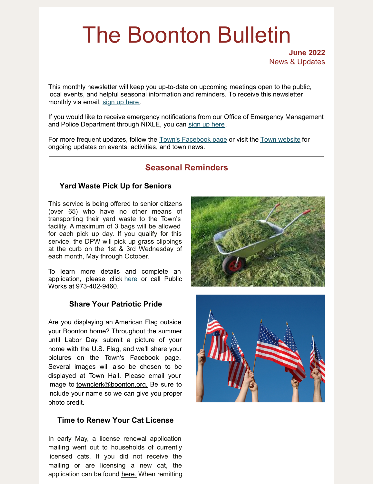# The Boonton Bulletin

**June 2022** News & Updates

This monthly newsletter will keep you up-to-date on upcoming meetings open to the public, local events, and helpful seasonal information and reminders. To receive this newsletter monthly via email, sign up [here](https://visitor.r20.constantcontact.com/manage/optin?v=001R7EztVuwXkBBcWw5z4rx7Y8pHezaxmabvd0VHnnNyXuOx-FRreROjfknpcDg1PuN9FMd8t37h3fvydqMBUcqgRjQOA-D5T3_mJQaSU63Gou4fTZoQ2qAjeQl0FAI6TpAyIsntzMunLGdLYSb5kiYp0xNe5ju7v1p).

If you would like to receive emergency notifications from our Office of Emergency Management and Police Department through NIXLE, you can sign up [here](https://www.boonton.org/347/Sign-up-for-Notifications).

For more frequent updates, follow the Town's [Facebook](https://www.facebook.com/BoontonNJ) page or visit the Town [website](https://www.boonton.org/) for ongoing updates on events, activities, and town news.

# **Seasonal Reminders**

# **Yard Waste Pick Up for Seniors**

This service is being offered to senior citizens (over 65) who have no other means of transporting their yard waste to the Town's facility. A maximum of 3 bags will be allowed for each pick up day. If you qualify for this service, the DPW will pick up grass clippings at the curb on the 1st & 3rd Wednesday of each month, May through October.

To learn more details and complete an application, please click [here](https://www.boonton.org/DocumentCenter/View/4179/SENIOR-CITIZEN-YARD-WASTE-APPLICATION--2022) or call Public Works at 973-402-9460.

## **Share Your Patriotic Pride**

Are you displaying an American Flag outside your Boonton home? Throughout the summer until Labor Day, submit a picture of your home with the U.S. Flag, and we'll share your pictures on the Town's Facebook page. Several images will also be chosen to be displayed at Town Hall. Please email your image to [townclerk@boonton.org.](mailto:townclerk@boonton.org) Be sure to include your name so we can give you proper photo credit.

## **Time to Renew Your Cat License**

In early May, a license renewal application mailing went out to households of currently licensed cats. If you did not receive the mailing or are licensing a new cat, the application can be found [here.](https://www.boonton.org/DocumentCenter/View/366/Cat-License-2015-PDF) When remitting



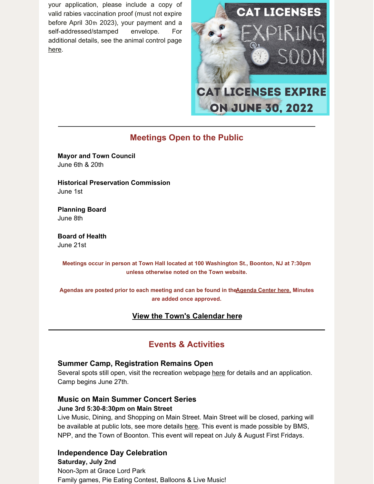your application, please include a copy of valid rabies vaccination proof (must not expire before April 30th 2023), your payment and a self-addressed/stamped envelope. For additional details, see the animal control page [here](https://www.boonton.org/453/Pet-Rules-Regulations).



# **Meetings Open to the Public**

**Mayor and Town Council** June 6th & 20th

**Historical Preservation Commission** June 1st

**Planning Board** June 8th

**Board of Health** June 21st

**Meetings occur in person at Town Hall located at 100 Washington St., Boonton, NJ at 7:30pm unless otherwise noted on the Town website.**

**Agendas are posted prior to each meeting and can be found in th[eAgenda](https://www.boonton.org/AgendaCenter) Center here. Minutes are added once approved.**

# **View the Town's [Calendar](https://www.boonton.org/calendar.aspx) here**

# **Events & Activities**

## **Summer Camp, Registration Remains Open**

Several spots still open, visit the recreation webpage [here](https://www.boonton.org/443/Youth-Programs) for details and an application. Camp begins June 27th.

# **Music on Main Summer Concert Series June 3rd 5:30-8:30pm on Main Street**

Live Music, Dining, and Shopping on Main Street. Main Street will be closed, parking will be available at public lots, see more details [here](https://www.boontonmainstreet.org/events/music-on-main-summer-series). This event is made possible by BMS, NPP, and the Town of Boonton. This event will repeat on July & August First Fridays.

# **Independence Day Celebration**

**Saturday, July 2nd** Noon-3pm at Grace Lord Park Family games, Pie Eating Contest, Balloons & Live Music!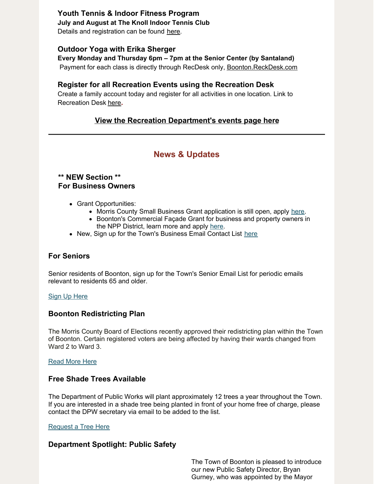# **Youth Tennis & Indoor Fitness Program**

**July and August at The Knoll Indoor Tennis Club**

Details and registration can be found [here](https://www.boonton.org/DocumentCenter/View/4169/Tennis-Summer-2022).

### **Outdoor Yoga with Erika Sherger**

#### **Every Monday and Thursday 6pm – 7pm at the Senior Center (by Santaland)**

Payment for each class is directly through RecDesk only, [Boonton.ReckDesk.com](http://boonton.recdesk.com)

# **Register for all Recreation Events using the Recreation Desk**

Create a family account today and register for all activities in one location. Link to Recreation Desk [here](https://boonton.recdesk.com/Community/Home)**.**

# **View the Recreation [Department's](https://www.boonton.org/446/Special-Events) events page here**

# **News & Updates**

## **\*\* NEW Section \*\* For Business Owners**

- Grant Opportunities:
	- Morris County Small Business Grant application is still open, apply [here](https://solixconsulting.force.com/MorrisCountySBG/s/?language=en_US).
	- Boonton's Commercial Façade Grant for business and property owners in the NPP District, learn more and apply [here](https://assets.website-files.com/5fd90d5283b785f64ed1a1d7/625efef4f022b275ba0b8bb3_NPP Facade Grant Application.pdf).
- New, Sign up for the Town's Business Email Contact List [here](https://www.boonton.org/691/Senior-Email-Contact-List)

## **For Seniors**

Senior residents of Boonton, sign up for the Town's Senior Email List for periodic emails relevant to residents 65 and older.

#### Sign Up [Here](https://www.boonton.org/691/Senior-Email-Contact-List)

#### **Boonton Redistricting Plan**

The Morris County Board of Elections recently approved their redistricting plan within the Town of Boonton. Certain registered voters are being affected by having their wards changed from Ward 2 to Ward 3.

#### [Read](https://www.boonton.org/689/Boonton-Redistricting-Plan-2022) More Here

#### **Free Shade Trees Available**

The Department of Public Works will plant approximately 12 trees a year throughout the Town. If you are interested in a shade tree being planted in front of your home free of charge, please contact the DPW secretary via email to be added to the list.

#### [Request](http://jsantucci@boonton.org) a Tree Here

#### **Department Spotlight: Public Safety**

The Town of Boonton is pleased to introduce our new Public Safety Director, Bryan Gurney, who was appointed by the Mayor